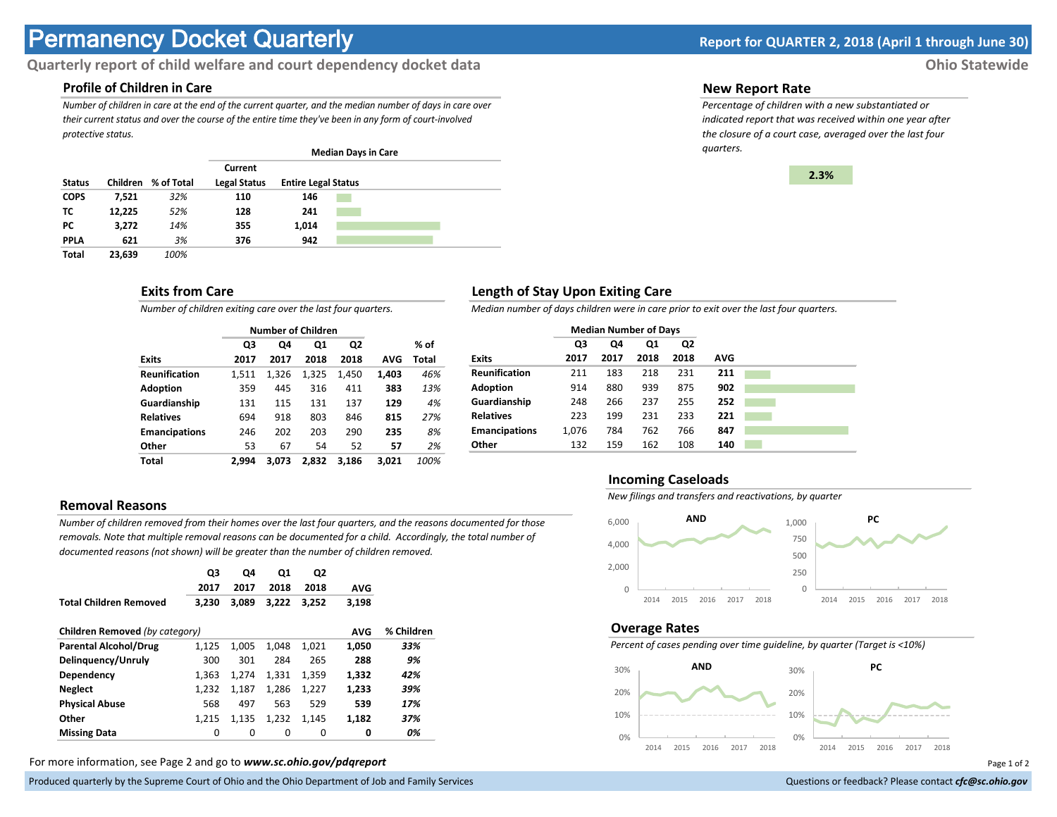# **Permanency Docket Quarterly Report for QUARTER 2, 2018 (April 1 through June 30)**

# **Quarterly report of child welfare and court dependency docket data Ohio Statewide**

# **Profile of Children in Care**

*Number of children in care at the end of the current quarter, and the median number of days in care over their current status and over the course of the entire time they've been in any form of court-involved protective status.*

|               |          |            |                                |                            | <b>Median Days in Care</b> |  |
|---------------|----------|------------|--------------------------------|----------------------------|----------------------------|--|
| <b>Status</b> | Children | % of Total | Current<br><b>Legal Status</b> | <b>Entire Legal Status</b> |                            |  |
| <b>COPS</b>   | 7,521    | 32%        | 110                            | 146                        |                            |  |
| тс            | 12.225   | 52%        | 128                            | 241                        |                            |  |
| РC            | 3,272    | 14%        | 355                            | 1.014                      |                            |  |
| <b>PPLA</b>   | 621      | 3%         | 376                            | 942                        |                            |  |
| <b>Total</b>  | 23.639   | 100%       |                                |                            |                            |  |

# **Exits from Care**

*Number of children exiting care over the last four quarters.*

|                      |       |       | <b>Number of Children</b> |                |       |       |
|----------------------|-------|-------|---------------------------|----------------|-------|-------|
|                      | Q3    | Q4    | Q1                        | Q <sub>2</sub> |       | % of  |
| <b>Exits</b>         | 2017  | 2017  | 2018                      | 2018           | AVG   | Total |
| <b>Reunification</b> | 1.511 | 1.326 | 1.325                     | 1.450          | 1,403 | 46%   |
| <b>Adoption</b>      | 359   | 445   | 316                       | 411            | 383   | 13%   |
| Guardianship         | 131   | 115   | 131                       | 137            | 129   | 4%    |
| <b>Relatives</b>     | 694   | 918   | 803                       | 846            | 815   | 27%   |
| <b>Emancipations</b> | 246   | 202   | 203                       | 290            | 235   | 8%    |
| Other                | 53    | 67    | 54                        | 52             | 57    | 2%    |
| Total                | 2.994 | 3.073 | 2.832                     | 3.186          | 3.021 | 100%  |

## **Removal Reasons**

*Number of children removed from their homes over the last four quarters, and the reasons documented for those removals. Note that multiple removal reasons can be documented for a child. Accordingly, the total number of documented reasons (not shown) will be greater than the number of children removed.* 

|                                | Q3<br>2017 | Q4<br>2017 | Q1<br>2018 | Q2<br>2018 | <b>AVG</b> |            |
|--------------------------------|------------|------------|------------|------------|------------|------------|
| <b>Total Children Removed</b>  | 3.230      | 3.089      | 3.222      | 3.252      | 3,198      |            |
| Children Removed (by category) |            |            |            |            | <b>AVG</b> | % Children |
| <b>Parental Alcohol/Drug</b>   | 1,125      | 1.005      | 1,048      | 1.021      | 1,050      | 33%        |
| Delinguency/Unruly             | 300        | 301        | 284        | 265        | 288        | 9%         |
| Dependency                     | 1.363      | 1.274      | 1.331      | 1,359      | 1,332      | 42%        |
| <b>Neglect</b>                 | 1,232      | 1,187      | 1.286      | 1,227      | 1,233      | 39%        |
| <b>Physical Abuse</b>          | 568        | 497        | 563        | 529        | 539        | 17%        |
| Other                          | 1.215      | 1.135      | 1.232      | 1,145      | 1,182      | 37%        |
| <b>Missing Data</b>            | 0          | $\Omega$   | 0          | 0          | 0          | 0%         |

For more information, see Page 2 and go to *www.sc.ohio.gov/pdqreport* Page 1 of 2

Produced quarterly by the Supreme Court of Ohio and the Ohio Department of Job and Family Services **Department** of *Services* Court of Ohio and the Ohio Department of Job and Family Services **Communist Court of Court of Co** 

### **New Report Rate**

*Percentage of children with a new substantiated or indicated report that was received within one year after the closure of a court case, averaged over the last four quarters.*



# **Length of Stay Upon Exiting Care**

*Median number of days children were in care prior to exit over the last four quarters.*

|                      | <b>Median Number of Days</b> |      |      |      |            |
|----------------------|------------------------------|------|------|------|------------|
|                      | Q3                           | Q4   | Q1   | Q2   |            |
| <b>Exits</b>         | 2017                         | 2017 | 2018 | 2018 | <b>AVG</b> |
| <b>Reunification</b> | 211                          | 183  | 218  | 231  | 211        |
| <b>Adoption</b>      | 914                          | 880  | 939  | 875  | 902        |
| Guardianship         | 248                          | 266  | 237  | 255  | 252        |
| <b>Relatives</b>     | 223                          | 199  | 231  | 233  | 221        |
| <b>Emancipations</b> | 1.076                        | 784  | 762  | 766  | 847        |
| Other                | 132                          | 159  | 162  | 108  | 140        |

## **Incoming Caseloads**

*New filings and transfers and reactivations, by quarter*



#### **Overage Rates**

*Percent of cases pending over time guideline, by quarter (Target is <10%)*